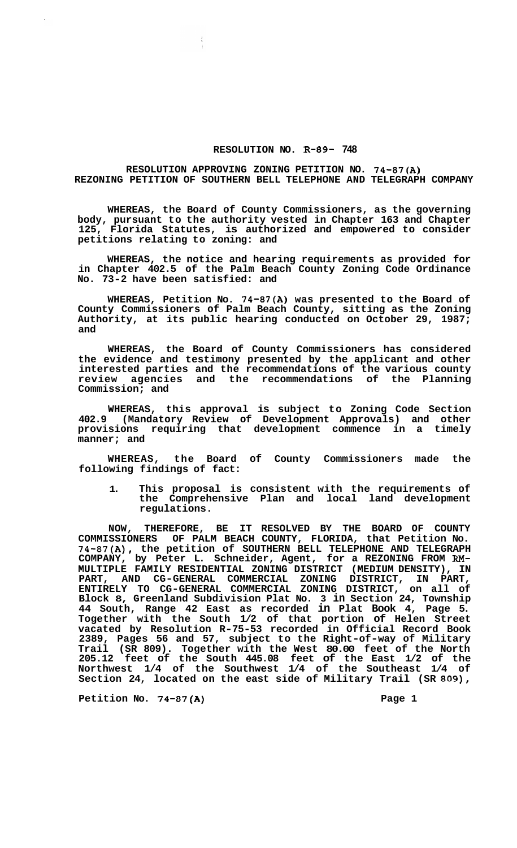## **RESOLUTION NO. R-89- 748**

## **RESOLUTION APPROVING ZONING PETITION NO. 74-87(A) REZONING PETITION OF SOUTHERN BELL TELEPHONE AND TELEGRAPH COMPANY**

**WHEREAS, the Board of County Commissioners, as the governing body, pursuant to the authority vested in Chapter 163 and Chapter 125, Florida Statutes, is authorized and empowered to consider petitions relating to zoning: and** 

**WHEREAS, the notice and hearing requirements as provided for in Chapter 402.5 of the Palm Beach County Zoning Code Ordinance No. 73-2 have been satisfied: and** 

**WHEREAS, Petition No. 74-87(A) was presented to the Board of County Commissioners of Palm Beach County, sitting as the Zoning Authority, at its public hearing conducted on October 29, 1987; and** 

**WHEREAS, the Board of County Commissioners has considered the evidence and testimony presented by the applicant and other interested parties and the recommendations of the various county review agencies and the recommendations of the Planning Commission; and** 

**WHEREAS, this approval is subject to Zoning Code Section 402.9 (Mandatory Review of Development Approvals) and other provisions requiring that development commence in a timely manner; and** 

**WHEREAS, the Board of County Commissioners made the following findings of fact:** 

**1. This proposal is consistent with the requirements of the Comprehensive Plan and local land development regulations.** 

**NOW, THEREFORE, BE IT RESOLVED BY THE BOARD OF COUNTY COMMISSIONERS OF PALM BEACH COUNTY, FLORIDA, that Petition No. 74-87(A), the petition of SOUTHERN BELL TELEPHONE AND TELEGRAPH COMPANY, by Peter L. Schneider, Agent, for a REZONING FROM RM-MULTIPLE FAMILY RESIDENTIAL ZONING DISTRICT (MEDIUM DENSITY), IN PART, AND CG-GENERAL COMMERCIAL ZONING DISTRICT, IN PART, ENTIRELY TO CG-GENERAL COMMERCIAL ZONING DISTRICT, on all of Block 8, Greenland Subdivision Plat No. 3 in Section 24, Township 44 South, Range 42 East as recorded in Plat Book 4, Page 5. Together with the South 1/2 of that portion of Helen Street vacated by Resolution R-75-53 recorded in Official Record Book 2389, Pages 56 and 57, subject to the Right-of-way of Military Trail (SR 809). Together with the West 80.00 feet of the North 205.12 feet of the South 445.08 feet of the East 1/2 of the Northwest 1/4 of the Southwest 1/4 of the Southeast 1/4 of Section 24, located on the east side of Military Trail (SR 809),**